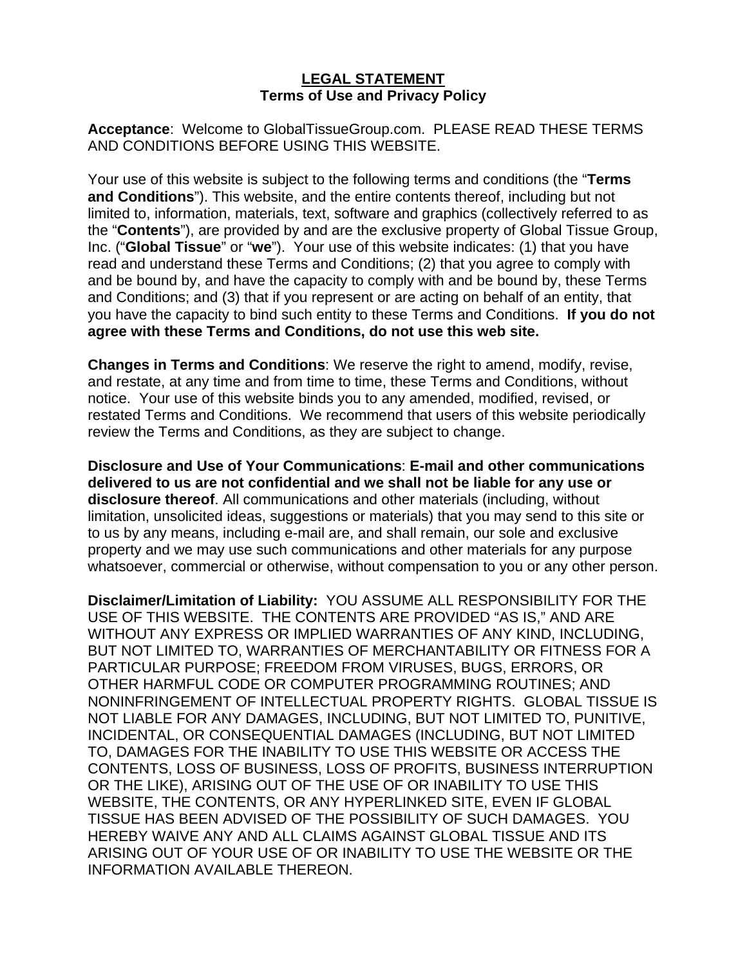## **LEGAL STATEMENT Terms of Use and Privacy Policy**

**Acceptance**: Welcome to GlobalTissueGroup.com. PLEASE READ THESE TERMS AND CONDITIONS BEFORE USING THIS WEBSITE.

Your use of this website is subject to the following terms and conditions (the "**Terms and Conditions**"). This website, and the entire contents thereof, including but not limited to, information, materials, text, software and graphics (collectively referred to as the "**Contents**"), are provided by and are the exclusive property of Global Tissue Group, Inc. ("**Global Tissue**" or "**we**"). Your use of this website indicates: (1) that you have read and understand these Terms and Conditions; (2) that you agree to comply with and be bound by, and have the capacity to comply with and be bound by, these Terms and Conditions; and (3) that if you represent or are acting on behalf of an entity, that you have the capacity to bind such entity to these Terms and Conditions. **If you do not agree with these Terms and Conditions, do not use this web site.**

**Changes in Terms and Conditions**: We reserve the right to amend, modify, revise, and restate, at any time and from time to time, these Terms and Conditions, without notice. Your use of this website binds you to any amended, modified, revised, or restated Terms and Conditions. We recommend that users of this website periodically review the Terms and Conditions, as they are subject to change.

**Disclosure and Use of Your Communications**: **E-mail and other communications delivered to us are not confidential and we shall not be liable for any use or disclosure thereof**. All communications and other materials (including, without limitation, unsolicited ideas, suggestions or materials) that you may send to this site or to us by any means, including e-mail are, and shall remain, our sole and exclusive property and we may use such communications and other materials for any purpose whatsoever, commercial or otherwise, without compensation to you or any other person.

**Disclaimer/Limitation of Liability:** YOU ASSUME ALL RESPONSIBILITY FOR THE USE OF THIS WEBSITE. THE CONTENTS ARE PROVIDED "AS IS," AND ARE WITHOUT ANY EXPRESS OR IMPLIED WARRANTIES OF ANY KIND, INCLUDING, BUT NOT LIMITED TO, WARRANTIES OF MERCHANTABILITY OR FITNESS FOR A PARTICULAR PURPOSE; FREEDOM FROM VIRUSES, BUGS, ERRORS, OR OTHER HARMFUL CODE OR COMPUTER PROGRAMMING ROUTINES; AND NONINFRINGEMENT OF INTELLECTUAL PROPERTY RIGHTS. GLOBAL TISSUE IS NOT LIABLE FOR ANY DAMAGES, INCLUDING, BUT NOT LIMITED TO, PUNITIVE, INCIDENTAL, OR CONSEQUENTIAL DAMAGES (INCLUDING, BUT NOT LIMITED TO, DAMAGES FOR THE INABILITY TO USE THIS WEBSITE OR ACCESS THE CONTENTS, LOSS OF BUSINESS, LOSS OF PROFITS, BUSINESS INTERRUPTION OR THE LIKE), ARISING OUT OF THE USE OF OR INABILITY TO USE THIS WEBSITE, THE CONTENTS, OR ANY HYPERLINKED SITE, EVEN IF GLOBAL TISSUE HAS BEEN ADVISED OF THE POSSIBILITY OF SUCH DAMAGES. YOU HEREBY WAIVE ANY AND ALL CLAIMS AGAINST GLOBAL TISSUE AND ITS ARISING OUT OF YOUR USE OF OR INABILITY TO USE THE WEBSITE OR THE INFORMATION AVAILABLE THEREON.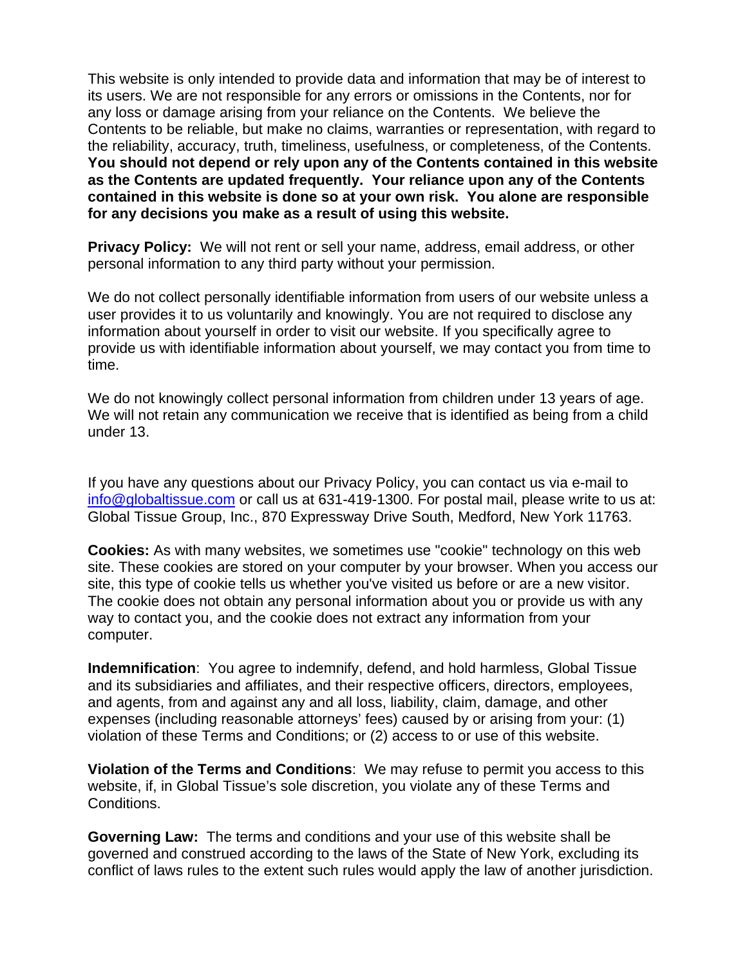This website is only intended to provide data and information that may be of interest to its users. We are not responsible for any errors or omissions in the Contents, nor for any loss or damage arising from your reliance on the Contents. We believe the Contents to be reliable, but make no claims, warranties or representation, with regard to the reliability, accuracy, truth, timeliness, usefulness, or completeness, of the Contents. **You should not depend or rely upon any of the Contents contained in this website as the Contents are updated frequently. Your reliance upon any of the Contents contained in this website is done so at your own risk. You alone are responsible for any decisions you make as a result of using this website.**

**Privacy Policy:** We will not rent or sell your name, address, email address, or other personal information to any third party without your permission.

We do not collect personally identifiable information from users of our website unless a user provides it to us voluntarily and knowingly. You are not required to disclose any information about yourself in order to visit our website. If you specifically agree to provide us with identifiable information about yourself, we may contact you from time to time.

We do not knowingly collect personal information from children under 13 years of age. We will not retain any communication we receive that is identified as being from a child under 13.

If you have any questions about our Privacy Policy, you can contact us via e-mail to info@globaltissue.com or call us at 631-419-1300. For postal mail, please write to us at: Global Tissue Group, Inc., 870 Expressway Drive South, Medford, New York 11763.

**Cookies:** As with many websites, we sometimes use "cookie" technology on this web site. These cookies are stored on your computer by your browser. When you access our site, this type of cookie tells us whether you've visited us before or are a new visitor. The cookie does not obtain any personal information about you or provide us with any way to contact you, and the cookie does not extract any information from your computer.

**Indemnification**: You agree to indemnify, defend, and hold harmless, Global Tissue and its subsidiaries and affiliates, and their respective officers, directors, employees, and agents, from and against any and all loss, liability, claim, damage, and other expenses (including reasonable attorneys' fees) caused by or arising from your: (1) violation of these Terms and Conditions; or (2) access to or use of this website.

**Violation of the Terms and Conditions**: We may refuse to permit you access to this website, if, in Global Tissue's sole discretion, you violate any of these Terms and Conditions.

**Governing Law:** The terms and conditions and your use of this website shall be governed and construed according to the laws of the State of New York, excluding its conflict of laws rules to the extent such rules would apply the law of another jurisdiction.